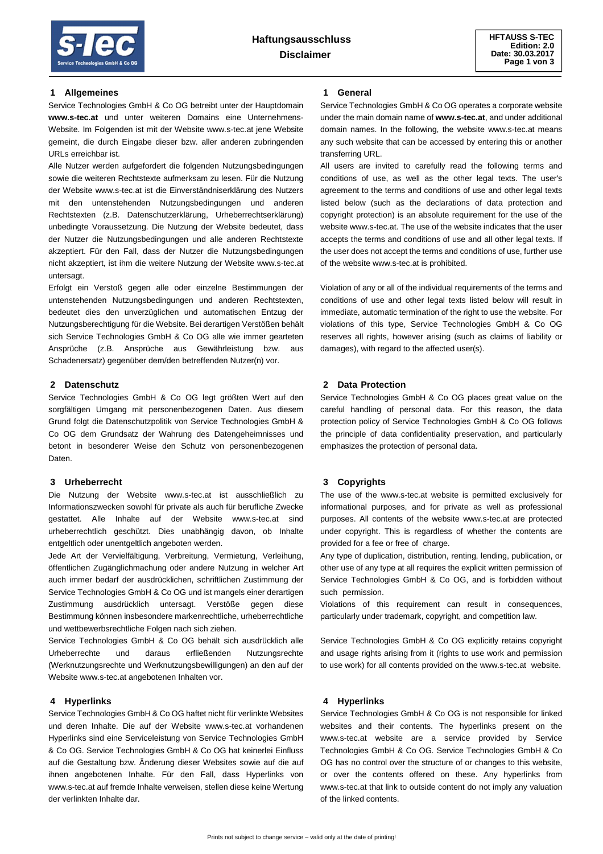### **1 Allgemeines**

Service Technologies GmbH & Co OG betreibt unter der Hauptdomain **www.s-tec.at** und unter weiteren Domains eine Unternehmens-Website. Im Folgenden ist mit der Website www.s-tec.at jene Website gemeint, die durch Eingabe dieser bzw. aller anderen zubringenden URLs erreichbar ist.

Alle Nutzer werden aufgefordert die folgenden Nutzungsbedingungen sowie die weiteren Rechtstexte aufmerksam zu lesen. Für die Nutzung der Website www.s-tec.at ist die Einverständniserklärung des Nutzers mit den untenstehenden Nutzungsbedingungen und anderen Rechtstexten (z.B. Datenschutzerklärung, Urheberrechtserklärung) unbedingte Voraussetzung. Die Nutzung der Website bedeutet, dass der Nutzer die Nutzungsbedingungen und alle anderen Rechtstexte akzeptiert. Für den Fall, dass der Nutzer die Nutzungsbedingungen nicht akzeptiert, ist ihm die weitere Nutzung der Website www.s-tec.at untersagt.

Erfolgt ein Verstoß gegen alle oder einzelne Bestimmungen der untenstehenden Nutzungsbedingungen und anderen Rechtstexten, bedeutet dies den unverzüglichen und automatischen Entzug der Nutzungsberechtigung für die Website. Bei derartigen Verstößen behält sich Service Technologies GmbH & Co OG alle wie immer gearteten Ansprüche (z.B. Ansprüche aus Gewährleistung bzw. aus Schadenersatz) gegenüber dem/den betreffenden Nutzer(n) vor.

## **2 Datenschutz**

Service Technologies GmbH & Co OG legt größten Wert auf den sorgfältigen Umgang mit personenbezogenen Daten. Aus diesem Grund folgt die Datenschutzpolitik von Service Technologies GmbH & Co OG dem Grundsatz der Wahrung des Datengeheimnisses und betont in besonderer Weise den Schutz von personenbezogenen Daten.

# **3 Urheberrecht**

Die Nutzung der Website www.s-tec.at ist ausschließlich zu Informationszwecken sowohl für private als auch für berufliche Zwecke gestattet. Alle Inhalte auf der Website www.s-tec.at sind urheberrechtlich geschützt. Dies unabhängig davon, ob Inhalte entgeltlich oder unentgeltlich angeboten werden.

Jede Art der Vervielfältigung, Verbreitung, Vermietung, Verleihung, öffentlichen Zugänglichmachung oder andere Nutzung in welcher Art auch immer bedarf der ausdrücklichen, schriftlichen Zustimmung der Service Technologies GmbH & Co OG und ist mangels einer derartigen Zustimmung ausdrücklich untersagt. Verstöße gegen diese Bestimmung können insbesondere markenrechtliche, urheberrechtliche und wettbewerbsrechtliche Folgen nach sich ziehen.

Service Technologies GmbH & Co OG behält sich ausdrücklich alle Urheberrechte und daraus erfließenden Nutzungsrechte (Werknutzungsrechte und Werknutzungsbewilligungen) an den auf der Website www.s-tec.at angebotenen Inhalten vor.

## **4 Hyperlinks**

Service Technologies GmbH & Co OG haftet nicht für verlinkte Websites und deren Inhalte. Die auf der Website www.s-tec.at vorhandenen Hyperlinks sind eine Serviceleistung von Service Technologies GmbH & Co OG. Service Technologies GmbH & Co OG hat keinerlei Einfluss auf die Gestaltung bzw. Änderung dieser Websites sowie auf die auf ihnen angebotenen Inhalte. Für den Fall, dass Hyperlinks von www.s-tec.at auf fremde Inhalte verweisen, stellen diese keine Wertung der verlinkten Inhalte dar.

#### **1 General**

Service Technologies GmbH & Co OG operates a corporate website under the main domain name of **www.s-tec.at**, and under additional domain names. In the following, the website www.s-tec.at means any such website that can be accessed by entering this or another transferring URL.

All users are invited to carefully read the following terms and conditions of use, as well as the other legal texts. The user's agreement to the terms and conditions of use and other legal texts listed below (such as the declarations of data protection and copyright protection) is an absolute requirement for the use of the website www.s-tec.at. The use of the website indicates that the user accepts the terms and conditions of use and all other legal texts. If the user does not accept the terms and conditions of use, further use of the website www.s-tec.at is prohibited.

Violation of any or all of the individual requirements of the terms and conditions of use and other legal texts listed below will result in immediate, automatic termination of the right to use the website. For violations of this type, Service Technologies GmbH & Co OG reserves all rights, however arising (such as claims of liability or damages), with regard to the affected user(s).

#### **2 Data Protection**

Service Technologies GmbH & Co OG places great value on the careful handling of personal data. For this reason, the data protection policy of Service Technologies GmbH & Co OG follows the principle of data confidentiality preservation, and particularly emphasizes the protection of personal data.

## **3 Copyrights**

The use of the www.s-tec.at website is permitted exclusively for informational purposes, and for private as well as professional purposes. All contents of the website www.s-tec.at are protected under copyright. This is regardless of whether the contents are provided for a fee or free of charge.

Any type of duplication, distribution, renting, lending, publication, or other use of any type at all requires the explicit written permission of Service Technologies GmbH & Co OG, and is forbidden without such permission.

Violations of this requirement can result in consequences, particularly under trademark, copyright, and competition law.

Service Technologies GmbH & Co OG explicitly retains copyright and usage rights arising from it (rights to use work and permission to use work) for all contents provided on the www.s-tec.at website.

## **4 Hyperlinks**

Service Technologies GmbH & Co OG is not responsible for linked websites and their contents. The hyperlinks present on the www.s-tec.at website are a service provided by Service Technologies GmbH & Co OG. Service Technologies GmbH & Co OG has no control over the structure of or changes to this website, or over the contents offered on these. Any hyperlinks from www.s-tec.at that link to outside content do not imply any valuation of the linked contents.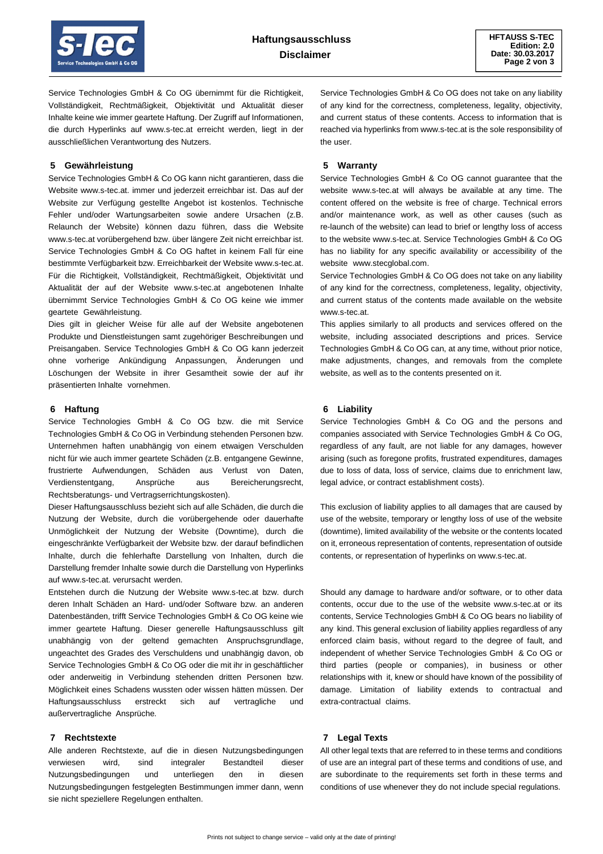

Service Technologies GmbH & Co OG übernimmt für die Richtigkeit, Vollständigkeit, Rechtmäßigkeit, Objektivität und Aktualität dieser Inhalte keine wie immer geartete Haftung. Der Zugriff auf Informationen, die durch Hyperlinks auf www.s-tec.at erreicht werden, liegt in der ausschließlichen Verantwortung des Nutzers.

## **5 Gewährleistung**

Service Technologies GmbH & Co OG kann nicht garantieren, dass die Website www.s-tec.at. immer und jederzeit erreichbar ist. Das auf der Website zur Verfügung gestellte Angebot ist kostenlos. Technische Fehler und/oder Wartungsarbeiten sowie andere Ursachen (z.B. Relaunch der Website) können dazu führen, dass die Website www.s-tec.at vorübergehend bzw. über längere Zeit nicht erreichbar ist. Service Technologies GmbH & Co OG haftet in keinem Fall für eine bestimmte Verfügbarkeit bzw. Erreichbarkeit der Website www.s-tec.at. Für die Richtigkeit, Vollständigkeit, Rechtmäßigkeit, Objektivität und Aktualität der auf der Website www.s-tec.at angebotenen Inhalte übernimmt Service Technologies GmbH & Co OG keine wie immer geartete Gewährleistung.

Dies gilt in gleicher Weise für alle auf der Website angebotenen Produkte und Dienstleistungen samt zugehöriger Beschreibungen und Preisangaben. Service Technologies GmbH & Co OG kann jederzeit ohne vorherige Ankündigung Anpassungen, Änderungen und Löschungen der Website in ihrer Gesamtheit sowie der auf ihr präsentierten Inhalte vornehmen.

#### **6 Haftung**

Service Technologies GmbH & Co OG bzw. die mit Service Technologies GmbH & Co OG in Verbindung stehenden Personen bzw. Unternehmen haften unabhängig von einem etwaigen Verschulden nicht für wie auch immer geartete Schäden (z.B. entgangene Gewinne, frustrierte Aufwendungen, Schäden aus Verlust von Daten, Verdienstentgang, Ansprüche aus Bereicherungsrecht, Rechtsberatungs- und Vertragserrichtungskosten).

Dieser Haftungsausschluss bezieht sich auf alle Schäden, die durch die Nutzung der Website, durch die vorübergehende oder dauerhafte Unmöglichkeit der Nutzung der Website (Downtime), durch die eingeschränkte Verfügbarkeit der Website bzw. der darauf befindlichen Inhalte, durch die fehlerhafte Darstellung von Inhalten, durch die Darstellung fremder Inhalte sowie durch die Darstellung von Hyperlinks auf www.s-tec.at. verursacht werden.

Entstehen durch die Nutzung der Website www.s-tec.at bzw. durch deren Inhalt Schäden an Hard- und/oder Software bzw. an anderen Datenbeständen, trifft Service Technologies GmbH & Co OG keine wie immer geartete Haftung. Dieser generelle Haftungsausschluss gilt unabhängig von der geltend gemachten Anspruchsgrundlage, ungeachtet des Grades des Verschuldens und unabhängig davon, ob Service Technologies GmbH & Co OG oder die mit ihr in geschäftlicher oder anderweitig in Verbindung stehenden dritten Personen bzw. Möglichkeit eines Schadens wussten oder wissen hätten müssen. Der Haftungsausschluss erstreckt sich auf vertragliche und außervertragliche Ansprüche.

## **7 Rechtstexte**

Alle anderen Rechtstexte, auf die in diesen Nutzungsbedingungen verwiesen wird, sind integraler Bestandteil dieser Nutzungsbedingungen und unterliegen den in diesen Nutzungsbedingungen festgelegten Bestimmungen immer dann, wenn sie nicht speziellere Regelungen enthalten.

Service Technologies GmbH & Co OG does not take on any liability of any kind for the correctness, completeness, legality, objectivity, and current status of these contents. Access to information that is reached via hyperlinks from www.s-tec.at is the sole responsibility of the user.

### **5 Warranty**

Service Technologies GmbH & Co OG cannot guarantee that the website www.s-tec.at will always be available at any time. The content offered on the website is free of charge. Technical errors and/or maintenance work, as well as other causes (such as re-launch of the website) can lead to brief or lengthy loss of access to the website www.s-tec.at. Service Technologies GmbH & Co OG has no liability for any specific availability or accessibility of the website www.stecglobal.com.

Service Technologies GmbH & Co OG does not take on any liability of any kind for the correctness, completeness, legality, objectivity, and current status of the contents made available on the website www.s-tec.at.

This applies similarly to all products and services offered on the website, including associated descriptions and prices. Service Technologies GmbH & Co OG can, at any time, without prior notice, make adjustments, changes, and removals from the complete website, as well as to the contents presented on it.

### **6 Liability**

Service Technologies GmbH & Co OG and the persons and companies associated with Service Technologies GmbH & Co OG, regardless of any fault, are not liable for any damages, however arising (such as foregone profits, frustrated expenditures, damages due to loss of data, loss of service, claims due to enrichment law, legal advice, or contract establishment costs).

This exclusion of liability applies to all damages that are caused by use of the website, temporary or lengthy loss of use of the website (downtime), limited availability of the website or the contents located on it, erroneous representation of contents, representation of outside contents, or representation of hyperlinks on www.s-tec.at.

Should any damage to hardware and/or software, or to other data contents, occur due to the use of the website www.s-tec.at or its contents, Service Technologies GmbH & Co OG bears no liability of any kind. This general exclusion of liability applies regardless of any enforced claim basis, without regard to the degree of fault, and independent of whether Service Technologies GmbH & Co OG or third parties (people or companies), in business or other relationships with it, knew or should have known of the possibility of damage. Limitation of liability extends to contractual and extra-contractual claims.

# **7 Legal Texts**

All other legal texts that are referred to in these terms and conditions of use are an integral part of these terms and conditions of use, and are subordinate to the requirements set forth in these terms and conditions of use whenever they do not include special regulations.